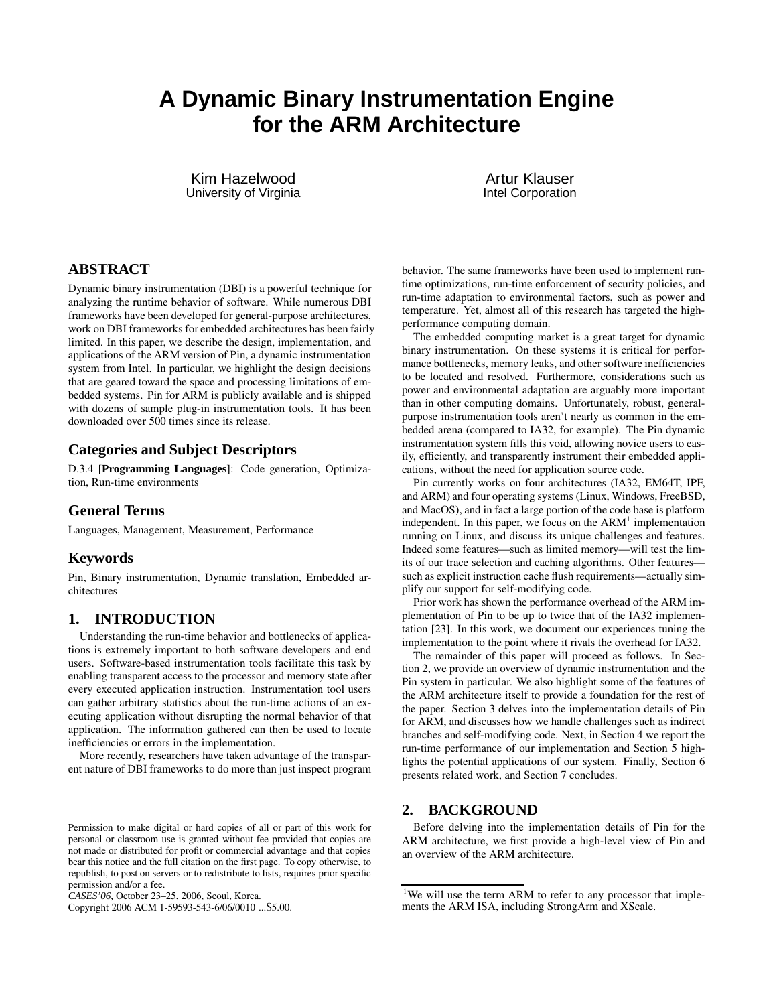# **A Dynamic Binary Instrumentation Engine for the ARM Architecture**

Kim Hazelwood University of Virginia Artur Klauser Intel Corporation

# **ABSTRACT**

Dynamic binary instrumentation (DBI) is a powerful technique for analyzing the runtime behavior of software. While numerous DBI frameworks have been developed for general-purpose architectures, work on DBI frameworks for embedded architectures has been fairly limited. In this paper, we describe the design, implementation, and applications of the ARM version of Pin, a dynamic instrumentation system from Intel. In particular, we highlight the design decisions that are geared toward the space and processing limitations of embedded systems. Pin for ARM is publicly available and is shipped with dozens of sample plug-in instrumentation tools. It has been downloaded over 500 times since its release.

#### **Categories and Subject Descriptors**

D.3.4 [**Programming Languages**]: Code generation, Optimization, Run-time environments

#### **General Terms**

Languages, Management, Measurement, Performance

#### **Keywords**

Pin, Binary instrumentation, Dynamic translation, Embedded architectures

#### **1. INTRODUCTION**

Understanding the run-time behavior and bottlenecks of applications is extremely important to both software developers and end users. Software-based instrumentation tools facilitate this task by enabling transparent access to the processor and memory state after every executed application instruction. Instrumentation tool users can gather arbitrary statistics about the run-time actions of an executing application without disrupting the normal behavior of that application. The information gathered can then be used to locate inefficiencies or errors in the implementation.

More recently, researchers have taken advantage of the transparent nature of DBI frameworks to do more than just inspect program

Copyright 2006 ACM 1-59593-543-6/06/0010 ...\$5.00.

behavior. The same frameworks have been used to implement runtime optimizations, run-time enforcement of security policies, and run-time adaptation to environmental factors, such as power and temperature. Yet, almost all of this research has targeted the highperformance computing domain.

The embedded computing market is a great target for dynamic binary instrumentation. On these systems it is critical for performance bottlenecks, memory leaks, and other software inefficiencies to be located and resolved. Furthermore, considerations such as power and environmental adaptation are arguably more important than in other computing domains. Unfortunately, robust, generalpurpose instrumentation tools aren't nearly as common in the embedded arena (compared to IA32, for example). The Pin dynamic instrumentation system fills this void, allowing novice users to easily, efficiently, and transparently instrument their embedded applications, without the need for application source code.

Pin currently works on four architectures (IA32, EM64T, IPF, and ARM) and four operating systems (Linux, Windows, FreeBSD, and MacOS), and in fact a large portion of the code base is platform independent. In this paper, we focus on the  $ARM<sup>1</sup>$  implementation running on Linux, and discuss its unique challenges and features. Indeed some features—such as limited memory—will test the limits of our trace selection and caching algorithms. Other features such as explicit instruction cache flush requirements—actually simplify our support for self-modifying code.

Prior work has shown the performance overhead of the ARM implementation of Pin to be up to twice that of the IA32 implementation [23]. In this work, we document our experiences tuning the implementation to the point where it rivals the overhead for IA32.

The remainder of this paper will proceed as follows. In Section 2, we provide an overview of dynamic instrumentation and the Pin system in particular. We also highlight some of the features of the ARM architecture itself to provide a foundation for the rest of the paper. Section 3 delves into the implementation details of Pin for ARM, and discusses how we handle challenges such as indirect branches and self-modifying code. Next, in Section 4 we report the run-time performance of our implementation and Section 5 highlights the potential applications of our system. Finally, Section 6 presents related work, and Section 7 concludes.

# **2. BACKGROUND**

Before delving into the implementation details of Pin for the ARM architecture, we first provide a high-level view of Pin and an overview of the ARM architecture.

Permission to make digital or hard copies of all or part of this work for personal or classroom use is granted without fee provided that copies are not made or distributed for profit or commercial advantage and that copies bear this notice and the full citation on the first page. To copy otherwise, to republish, to post on servers or to redistribute to lists, requires prior specific permission and/or a fee.

*CASES'06,* October 23–25, 2006, Seoul, Korea.

<sup>&</sup>lt;sup>1</sup>We will use the term ARM to refer to any processor that implements the ARM ISA, including StrongArm and XScale.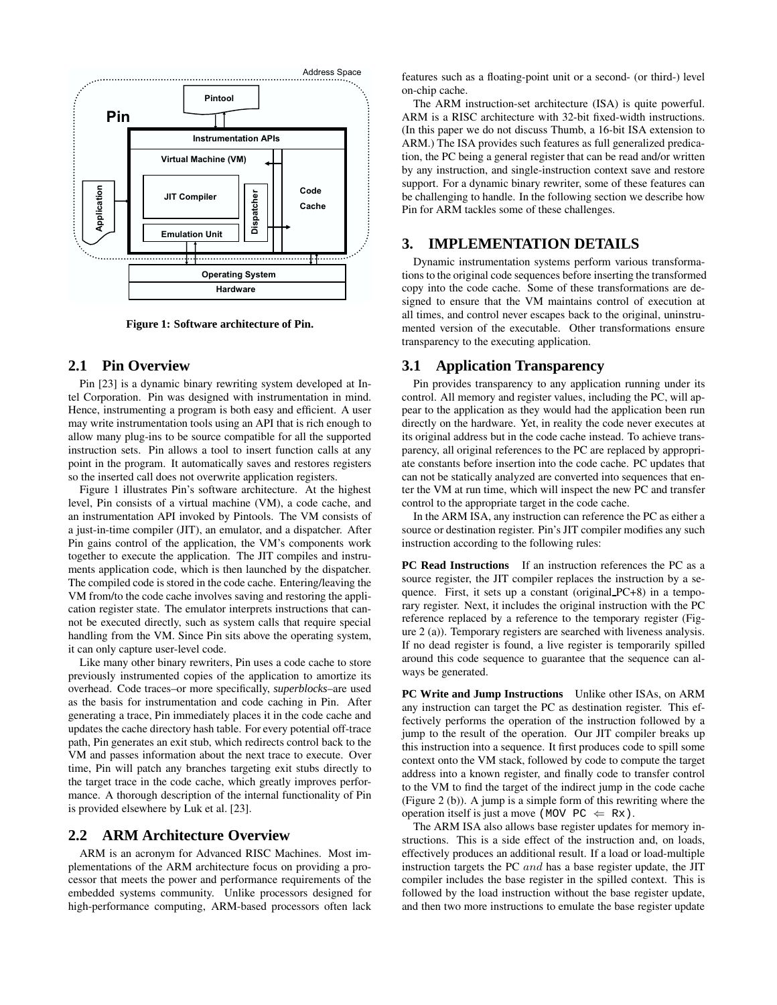

**Figure 1: Software architecture of Pin.**

## **2.1 Pin Overview**

Pin [23] is a dynamic binary rewriting system developed at Intel Corporation. Pin was designed with instrumentation in mind. Hence, instrumenting a program is both easy and efficient. A user may write instrumentation tools using an API that is rich enough to allow many plug-ins to be source compatible for all the supported instruction sets. Pin allows a tool to insert function calls at any point in the program. It automatically saves and restores registers so the inserted call does not overwrite application registers.

Figure 1 illustrates Pin's software architecture. At the highest level, Pin consists of a virtual machine (VM), a code cache, and an instrumentation API invoked by Pintools. The VM consists of a just-in-time compiler (JIT), an emulator, and a dispatcher. After Pin gains control of the application, the VM's components work together to execute the application. The JIT compiles and instruments application code, which is then launched by the dispatcher. The compiled code is stored in the code cache. Entering/leaving the VM from/to the code cache involves saving and restoring the application register state. The emulator interprets instructions that cannot be executed directly, such as system calls that require special handling from the VM. Since Pin sits above the operating system, it can only capture user-level code.

Like many other binary rewriters, Pin uses a code cache to store previously instrumented copies of the application to amortize its overhead. Code traces–or more specifically, *superblocks*–are used as the basis for instrumentation and code caching in Pin. After generating a trace, Pin immediately places it in the code cache and updates the cache directory hash table. For every potential off-trace path, Pin generates an exit stub, which redirects control back to the VM and passes information about the next trace to execute. Over time, Pin will patch any branches targeting exit stubs directly to the target trace in the code cache, which greatly improves performance. A thorough description of the internal functionality of Pin is provided elsewhere by Luk et al. [23].

#### **2.2 ARM Architecture Overview**

ARM is an acronym for Advanced RISC Machines. Most implementations of the ARM architecture focus on providing a processor that meets the power and performance requirements of the embedded systems community. Unlike processors designed for high-performance computing, ARM-based processors often lack

features such as a floating-point unit or a second- (or third-) level on-chip cache.

The ARM instruction-set architecture (ISA) is quite powerful. ARM is a RISC architecture with 32-bit fixed-width instructions. (In this paper we do not discuss Thumb, a 16-bit ISA extension to ARM.) The ISA provides such features as full generalized predication, the PC being a general register that can be read and/or written by any instruction, and single-instruction context save and restore support. For a dynamic binary rewriter, some of these features can be challenging to handle. In the following section we describe how Pin for ARM tackles some of these challenges.

#### **3. IMPLEMENTATION DETAILS**

Dynamic instrumentation systems perform various transformations to the original code sequences before inserting the transformed copy into the code cache. Some of these transformations are designed to ensure that the VM maintains control of execution at all times, and control never escapes back to the original, uninstrumented version of the executable. Other transformations ensure transparency to the executing application.

#### **3.1 Application Transparency**

Pin provides transparency to any application running under its control. All memory and register values, including the PC, will appear to the application as they would had the application been run directly on the hardware. Yet, in reality the code never executes at its original address but in the code cache instead. To achieve transparency, all original references to the PC are replaced by appropriate constants before insertion into the code cache. PC updates that can not be statically analyzed are converted into sequences that enter the VM at run time, which will inspect the new PC and transfer control to the appropriate target in the code cache.

In the ARM ISA, any instruction can reference the PC as either a source or destination register. Pin's JIT compiler modifies any such instruction according to the following rules:

**PC Read Instructions** If an instruction references the PC as a source register, the JIT compiler replaces the instruction by a sequence. First, it sets up a constant (original PC+8) in a temporary register. Next, it includes the original instruction with the PC reference replaced by a reference to the temporary register (Figure 2 (a)). Temporary registers are searched with liveness analysis. If no dead register is found, a live register is temporarily spilled around this code sequence to guarantee that the sequence can always be generated.

**PC Write and Jump Instructions** Unlike other ISAs, on ARM any instruction can target the PC as destination register. This effectively performs the operation of the instruction followed by a jump to the result of the operation. Our JIT compiler breaks up this instruction into a sequence. It first produces code to spill some context onto the VM stack, followed by code to compute the target address into a known register, and finally code to transfer control to the VM to find the target of the indirect jump in the code cache (Figure 2 (b)). A jump is a simple form of this rewriting where the operation itself is just a move (MOV  $PC \Leftarrow Rx$ ).

The ARM ISA also allows base register updates for memory instructions. This is a side effect of the instruction and, on loads, effectively produces an additional result. If a load or load-multiple instruction targets the PC and has a base register update, the JIT compiler includes the base register in the spilled context. This is followed by the load instruction without the base register update, and then two more instructions to emulate the base register update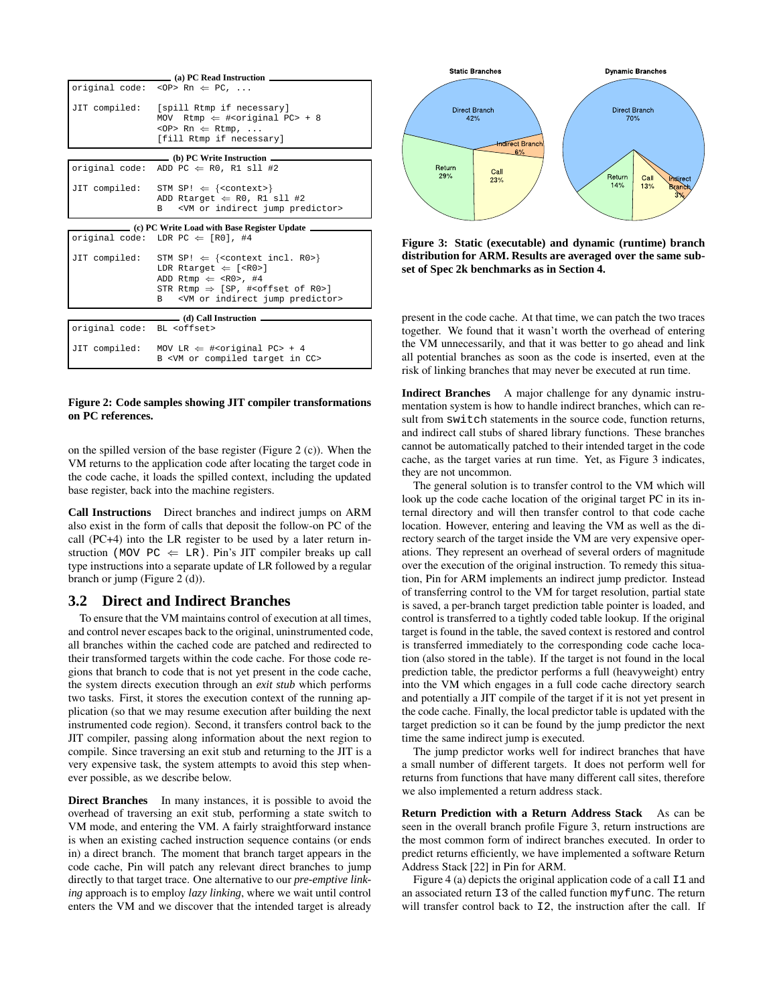| (a) PC Read Instruction             |                                                                                                                                                                                                                                                                                                                   |  |  |  |  |  |
|-------------------------------------|-------------------------------------------------------------------------------------------------------------------------------------------------------------------------------------------------------------------------------------------------------------------------------------------------------------------|--|--|--|--|--|
|                                     | original code: <0P> Rn $\Leftarrow$ PC,                                                                                                                                                                                                                                                                           |  |  |  |  |  |
|                                     | JIT compiled: [spill Rtmp if necessary]<br>MOV Rtmp $\Leftarrow$ # <original pc=""> + 8<br/>&lt;0P&gt; Rn <math>\Leftarrow</math> Rtmp, <br/>[fill Rtmp if necessary]</original>                                                                                                                                  |  |  |  |  |  |
| (b) PC Write Instruction _______    |                                                                                                                                                                                                                                                                                                                   |  |  |  |  |  |
|                                     | original code: ADD PC $\Leftarrow$ R0, R1 sll #2                                                                                                                                                                                                                                                                  |  |  |  |  |  |
|                                     | JIT compiled: STM SP! $\Leftarrow$ { <context>}<br/>ADD Rtarget <math>\Leftarrow</math> RO, R1 sll #2<br/>B <vm indirect="" jump="" or="" predictor=""></vm></context>                                                                                                                                            |  |  |  |  |  |
|                                     |                                                                                                                                                                                                                                                                                                                   |  |  |  |  |  |
|                                     | original code: LDR PC $\Leftarrow$ [R0], #4                                                                                                                                                                                                                                                                       |  |  |  |  |  |
|                                     | JIT compiled: STM SP! $\Leftarrow$ { <context incl.="" r0="">}<br/>LDR Rtarget <math>\Leftarrow</math> [<r0>]<br/>ADD Rtmp <math>\Leftarrow</math> <r0>, #4<br/>STR Rtmp <math>\Rightarrow</math> [SP, #<offset of="" ro="">]<br/>B <vm indirect="" jump="" or="" predictor=""></vm></offset></r0></r0></context> |  |  |  |  |  |
| (d) Call Instruction                |                                                                                                                                                                                                                                                                                                                   |  |  |  |  |  |
| original code: BL <offset></offset> |                                                                                                                                                                                                                                                                                                                   |  |  |  |  |  |
|                                     |                                                                                                                                                                                                                                                                                                                   |  |  |  |  |  |

#### **Figure 2: Code samples showing JIT compiler transformations on PC references.**

on the spilled version of the base register (Figure 2 (c)). When the VM returns to the application code after locating the target code in the code cache, it loads the spilled context, including the updated base register, back into the machine registers.

**Call Instructions** Direct branches and indirect jumps on ARM also exist in the form of calls that deposit the follow-on PC of the call (PC+4) into the LR register to be used by a later return instruction (MOV PC  $\Leftarrow$  LR). Pin's JIT compiler breaks up call type instructions into a separate update of LR followed by a regular branch or jump (Figure 2 (d)).

## **3.2 Direct and Indirect Branches**

To ensure that the VM maintains control of execution at all times, and control never escapes back to the original, uninstrumented code, all branches within the cached code are patched and redirected to their transformed targets within the code cache. For those code regions that branch to code that is not yet present in the code cache, the system directs execution through an *exit stub* which performs two tasks. First, it stores the execution context of the running application (so that we may resume execution after building the next instrumented code region). Second, it transfers control back to the JIT compiler, passing along information about the next region to compile. Since traversing an exit stub and returning to the JIT is a very expensive task, the system attempts to avoid this step whenever possible, as we describe below.

**Direct Branches** In many instances, it is possible to avoid the overhead of traversing an exit stub, performing a state switch to VM mode, and entering the VM. A fairly straightforward instance is when an existing cached instruction sequence contains (or ends in) a direct branch. The moment that branch target appears in the code cache, Pin will patch any relevant direct branches to jump directly to that target trace. One alternative to our *pre-emptive linking* approach is to employ *lazy linking*, where we wait until control enters the VM and we discover that the intended target is already



**Figure 3: Static (executable) and dynamic (runtime) branch distribution for ARM. Results are averaged over the same subset of Spec 2k benchmarks as in Section 4.**

present in the code cache. At that time, we can patch the two traces together. We found that it wasn't worth the overhead of entering the VM unnecessarily, and that it was better to go ahead and link all potential branches as soon as the code is inserted, even at the risk of linking branches that may never be executed at run time.

**Indirect Branches** A major challenge for any dynamic instrumentation system is how to handle indirect branches, which can result from switch statements in the source code, function returns, and indirect call stubs of shared library functions. These branches cannot be automatically patched to their intended target in the code cache, as the target varies at run time. Yet, as Figure 3 indicates, they are not uncommon.

The general solution is to transfer control to the VM which will look up the code cache location of the original target PC in its internal directory and will then transfer control to that code cache location. However, entering and leaving the VM as well as the directory search of the target inside the VM are very expensive operations. They represent an overhead of several orders of magnitude over the execution of the original instruction. To remedy this situation, Pin for ARM implements an indirect jump predictor. Instead of transferring control to the VM for target resolution, partial state is saved, a per-branch target prediction table pointer is loaded, and control is transferred to a tightly coded table lookup. If the original target is found in the table, the saved context is restored and control is transferred immediately to the corresponding code cache location (also stored in the table). If the target is not found in the local prediction table, the predictor performs a full (heavyweight) entry into the VM which engages in a full code cache directory search and potentially a JIT compile of the target if it is not yet present in the code cache. Finally, the local predictor table is updated with the target prediction so it can be found by the jump predictor the next time the same indirect jump is executed.

The jump predictor works well for indirect branches that have a small number of different targets. It does not perform well for returns from functions that have many different call sites, therefore we also implemented a return address stack.

**Return Prediction with a Return Address Stack** As can be seen in the overall branch profile Figure 3, return instructions are the most common form of indirect branches executed. In order to predict returns efficiently, we have implemented a software Return Address Stack [22] in Pin for ARM.

Figure 4 (a) depicts the original application code of a call I1 and an associated return I3 of the called function myfunc. The return will transfer control back to 12, the instruction after the call. If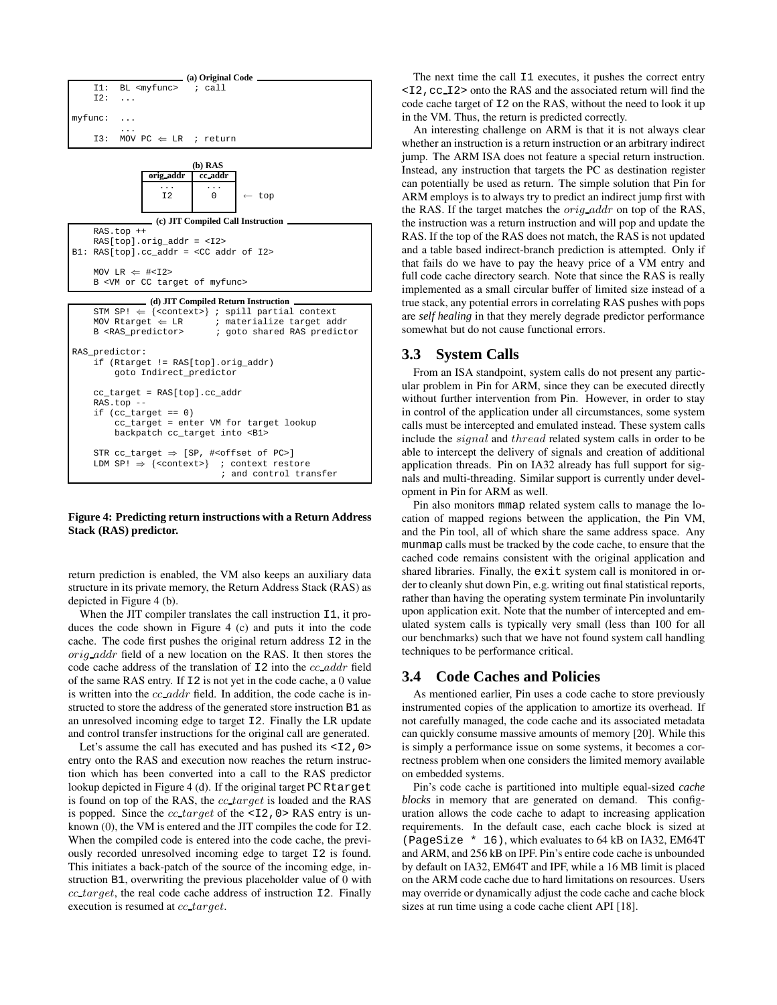

#### **Figure 4: Predicting return instructions with a Return Address Stack (RAS) predictor.**

return prediction is enabled, the VM also keeps an auxiliary data structure in its private memory, the Return Address Stack (RAS) as depicted in Figure 4 (b).

When the JIT compiler translates the call instruction  $I1$ , it produces the code shown in Figure 4 (c) and puts it into the code cache. The code first pushes the original return address I2 in the orig addr field of a new location on the RAS. It then stores the code cache address of the translation of 12 into the cc\_addr field of the same RAS entry. If I2 is not yet in the code cache, a 0 value is written into the  $cc$  addr field. In addition, the code cache is instructed to store the address of the generated store instruction B1 as an unresolved incoming edge to target I2. Finally the LR update and control transfer instructions for the original call are generated.

Let's assume the call has executed and has pushed its <I2, 0> entry onto the RAS and execution now reaches the return instruction which has been converted into a call to the RAS predictor lookup depicted in Figure 4 (d). If the original target PC Rtarget is found on top of the RAS, the  $cc$ -target is loaded and the RAS is popped. Since the  $cc$  target of the <12,0> RAS entry is unknown  $(0)$ , the VM is entered and the JIT compiles the code for  $\text{I2}$ . When the compiled code is entered into the code cache, the previously recorded unresolved incoming edge to target I2 is found. This initiates a back-patch of the source of the incoming edge, instruction B1, overwriting the previous placeholder value of 0 with cc target, the real code cache address of instruction I2. Finally execution is resumed at cc\_target.

The next time the call I1 executes, it pushes the correct entry <I2,cc I2> onto the RAS and the associated return will find the code cache target of I2 on the RAS, without the need to look it up in the VM. Thus, the return is predicted correctly.

An interesting challenge on ARM is that it is not always clear whether an instruction is a return instruction or an arbitrary indirect jump. The ARM ISA does not feature a special return instruction. Instead, any instruction that targets the PC as destination register can potentially be used as return. The simple solution that Pin for ARM employs is to always try to predict an indirect jump first with the RAS. If the target matches the  $orig\_addr$  on top of the RAS, the instruction was a return instruction and will pop and update the RAS. If the top of the RAS does not match, the RAS is not updated and a table based indirect-branch prediction is attempted. Only if that fails do we have to pay the heavy price of a VM entry and full code cache directory search. Note that since the RAS is really implemented as a small circular buffer of limited size instead of a true stack, any potential errors in correlating RAS pushes with pops are *self healing* in that they merely degrade predictor performance somewhat but do not cause functional errors.

#### **3.3 System Calls**

From an ISA standpoint, system calls do not present any particular problem in Pin for ARM, since they can be executed directly without further intervention from Pin. However, in order to stay in control of the application under all circumstances, some system calls must be intercepted and emulated instead. These system calls include the signal and thread related system calls in order to be able to intercept the delivery of signals and creation of additional application threads. Pin on IA32 already has full support for signals and multi-threading. Similar support is currently under development in Pin for ARM as well.

Pin also monitors mmap related system calls to manage the location of mapped regions between the application, the Pin VM, and the Pin tool, all of which share the same address space. Any munmap calls must be tracked by the code cache, to ensure that the cached code remains consistent with the original application and shared libraries. Finally, the exit system call is monitored in order to cleanly shut down Pin, e.g. writing out final statistical reports, rather than having the operating system terminate Pin involuntarily upon application exit. Note that the number of intercepted and emulated system calls is typically very small (less than 100 for all our benchmarks) such that we have not found system call handling techniques to be performance critical.

## **3.4 Code Caches and Policies**

As mentioned earlier, Pin uses a code cache to store previously instrumented copies of the application to amortize its overhead. If not carefully managed, the code cache and its associated metadata can quickly consume massive amounts of memory [20]. While this is simply a performance issue on some systems, it becomes a correctness problem when one considers the limited memory available on embedded systems.

Pin's code cache is partitioned into multiple equal-sized *cache blocks* in memory that are generated on demand. This configuration allows the code cache to adapt to increasing application requirements. In the default case, each cache block is sized at (PageSize \* 16), which evaluates to 64 kB on IA32, EM64T and ARM, and 256 kB on IPF. Pin's entire code cache is unbounded by default on IA32, EM64T and IPF, while a 16 MB limit is placed on the ARM code cache due to hard limitations on resources. Users may override or dynamically adjust the code cache and cache block sizes at run time using a code cache client API [18].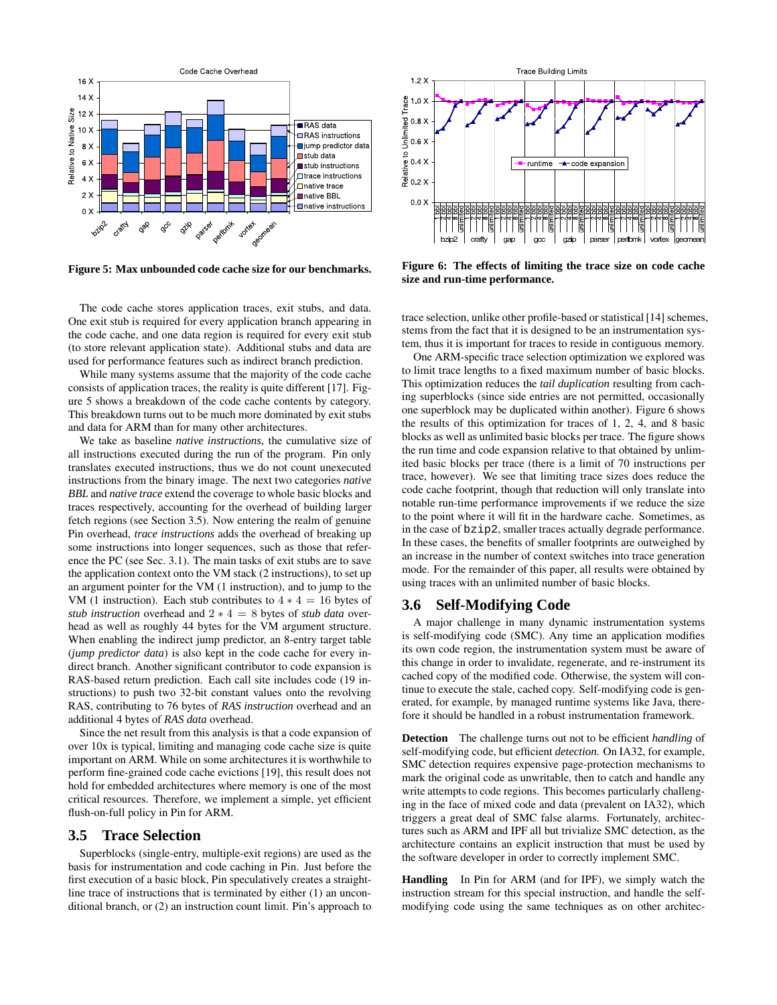

**Figure 5: Max unbounded code cache size for our benchmarks.**

The code cache stores application traces, exit stubs, and data. One exit stub is required for every application branch appearing in the code cache, and one data region is required for every exit stub (to store relevant application state). Additional stubs and data are used for performance features such as indirect branch prediction.

While many systems assume that the majority of the code cache consists of application traces, the reality is quite different [17]. Figure 5 shows a breakdown of the code cache contents by category. This breakdown turns out to be much more dominated by exit stubs and data for ARM than for many other architectures.

We take as baseline *native instructions*, the cumulative size of all instructions executed during the run of the program. Pin only translates executed instructions, thus we do not count unexecuted instructions from the binary image. The next two categories *native BBL* and *native trace* extend the coverage to whole basic blocks and traces respectively, accounting for the overhead of building larger fetch regions (see Section 3.5). Now entering the realm of genuine Pin overhead, *trace instructions* adds the overhead of breaking up some instructions into longer sequences, such as those that reference the PC (see Sec. 3.1). The main tasks of exit stubs are to save the application context onto the VM stack (2 instructions), to set up an argument pointer for the VM (1 instruction), and to jump to the VM (1 instruction). Each stub contributes to  $4 * 4 = 16$  bytes of *stub instruction* overhead and  $2 * 4 = 8$  bytes of *stub data* overhead as well as roughly 44 bytes for the VM argument structure. When enabling the indirect jump predictor, an 8-entry target table (*jump predictor data*) is also kept in the code cache for every indirect branch. Another significant contributor to code expansion is RAS-based return prediction. Each call site includes code (19 instructions) to push two 32-bit constant values onto the revolving RAS, contributing to 76 bytes of *RAS instruction* overhead and an additional 4 bytes of *RAS data* overhead.

Since the net result from this analysis is that a code expansion of over 10x is typical, limiting and managing code cache size is quite important on ARM. While on some architectures it is worthwhile to perform fine-grained code cache evictions [19], this result does not hold for embedded architectures where memory is one of the most critical resources. Therefore, we implement a simple, yet efficient flush-on-full policy in Pin for ARM.

#### **3.5 Trace Selection**

Superblocks (single-entry, multiple-exit regions) are used as the basis for instrumentation and code caching in Pin. Just before the first execution of a basic block, Pin speculatively creates a straightline trace of instructions that is terminated by either (1) an unconditional branch, or (2) an instruction count limit. Pin's approach to



**Figure 6: The effects of limiting the trace size on code cache size and run-time performance.**

trace selection, unlike other profile-based or statistical [14] schemes, stems from the fact that it is designed to be an instrumentation system, thus it is important for traces to reside in contiguous memory.

One ARM-specific trace selection optimization we explored was to limit trace lengths to a fixed maximum number of basic blocks. This optimization reduces the *tail duplication* resulting from caching superblocks (since side entries are not permitted, occasionally one superblock may be duplicated within another). Figure 6 shows the results of this optimization for traces of 1, 2, 4, and 8 basic blocks as well as unlimited basic blocks per trace. The figure shows the run time and code expansion relative to that obtained by unlimited basic blocks per trace (there is a limit of 70 instructions per trace, however). We see that limiting trace sizes does reduce the code cache footprint, though that reduction will only translate into notable run-time performance improvements if we reduce the size to the point where it will fit in the hardware cache. Sometimes, as in the case of bzip2, smaller traces actually degrade performance. In these cases, the benefits of smaller footprints are outweighed by an increase in the number of context switches into trace generation mode. For the remainder of this paper, all results were obtained by using traces with an unlimited number of basic blocks.

#### **3.6 Self-Modifying Code**

A major challenge in many dynamic instrumentation systems is self-modifying code (SMC). Any time an application modifies its own code region, the instrumentation system must be aware of this change in order to invalidate, regenerate, and re-instrument its cached copy of the modified code. Otherwise, the system will continue to execute the stale, cached copy. Self-modifying code is generated, for example, by managed runtime systems like Java, therefore it should be handled in a robust instrumentation framework.

**Detection** The challenge turns out not to be efficient *handling* of self-modifying code, but efficient *detection*. On IA32, for example, SMC detection requires expensive page-protection mechanisms to mark the original code as unwritable, then to catch and handle any write attempts to code regions. This becomes particularly challenging in the face of mixed code and data (prevalent on IA32), which triggers a great deal of SMC false alarms. Fortunately, architectures such as ARM and IPF all but trivialize SMC detection, as the architecture contains an explicit instruction that must be used by the software developer in order to correctly implement SMC.

**Handling** In Pin for ARM (and for IPF), we simply watch the instruction stream for this special instruction, and handle the selfmodifying code using the same techniques as on other architec-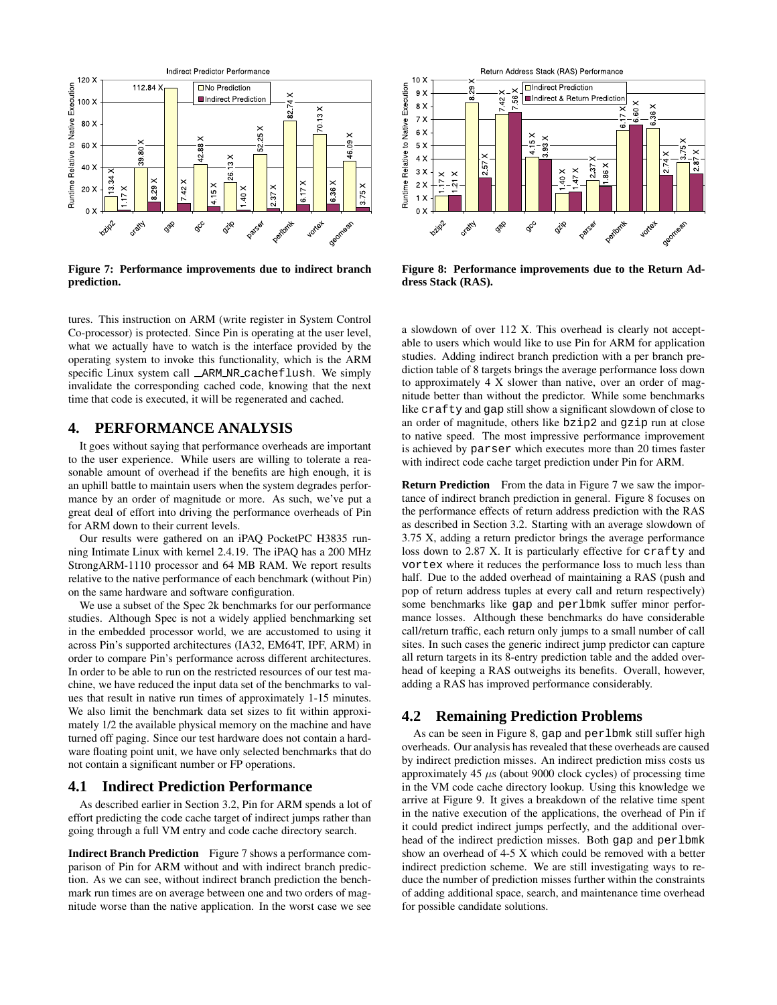

**Figure 7: Performance improvements due to indirect branch prediction.**

tures. This instruction on ARM (write register in System Control Co-processor) is protected. Since Pin is operating at the user level, what we actually have to watch is the interface provided by the operating system to invoke this functionality, which is the ARM specific Linux system call ARM NR cacheflush. We simply invalidate the corresponding cached code, knowing that the next time that code is executed, it will be regenerated and cached.

#### **4. PERFORMANCE ANALYSIS**

It goes without saying that performance overheads are important to the user experience. While users are willing to tolerate a reasonable amount of overhead if the benefits are high enough, it is an uphill battle to maintain users when the system degrades performance by an order of magnitude or more. As such, we've put a great deal of effort into driving the performance overheads of Pin for ARM down to their current levels.

Our results were gathered on an iPAQ PocketPC H3835 running Intimate Linux with kernel 2.4.19. The iPAQ has a 200 MHz StrongARM-1110 processor and 64 MB RAM. We report results relative to the native performance of each benchmark (without Pin) on the same hardware and software configuration.

We use a subset of the Spec 2k benchmarks for our performance studies. Although Spec is not a widely applied benchmarking set in the embedded processor world, we are accustomed to using it across Pin's supported architectures (IA32, EM64T, IPF, ARM) in order to compare Pin's performance across different architectures. In order to be able to run on the restricted resources of our test machine, we have reduced the input data set of the benchmarks to values that result in native run times of approximately 1-15 minutes. We also limit the benchmark data set sizes to fit within approximately 1/2 the available physical memory on the machine and have turned off paging. Since our test hardware does not contain a hardware floating point unit, we have only selected benchmarks that do not contain a significant number or FP operations.

#### **4.1 Indirect Prediction Performance**

As described earlier in Section 3.2, Pin for ARM spends a lot of effort predicting the code cache target of indirect jumps rather than going through a full VM entry and code cache directory search.

**Indirect Branch Prediction** Figure 7 shows a performance comparison of Pin for ARM without and with indirect branch prediction. As we can see, without indirect branch prediction the benchmark run times are on average between one and two orders of magnitude worse than the native application. In the worst case we see



**Figure 8: Performance improvements due to the Return Address Stack (RAS).**

a slowdown of over 112 X. This overhead is clearly not acceptable to users which would like to use Pin for ARM for application studies. Adding indirect branch prediction with a per branch prediction table of 8 targets brings the average performance loss down to approximately 4 X slower than native, over an order of magnitude better than without the predictor. While some benchmarks like crafty and gap still show a significant slowdown of close to an order of magnitude, others like bzip2 and gzip run at close to native speed. The most impressive performance improvement is achieved by parser which executes more than 20 times faster with indirect code cache target prediction under Pin for ARM.

**Return Prediction** From the data in Figure 7 we saw the importance of indirect branch prediction in general. Figure 8 focuses on the performance effects of return address prediction with the RAS as described in Section 3.2. Starting with an average slowdown of 3.75 X, adding a return predictor brings the average performance loss down to 2.87 X. It is particularly effective for crafty and vortex where it reduces the performance loss to much less than half. Due to the added overhead of maintaining a RAS (push and pop of return address tuples at every call and return respectively) some benchmarks like gap and perlbmk suffer minor performance losses. Although these benchmarks do have considerable call/return traffic, each return only jumps to a small number of call sites. In such cases the generic indirect jump predictor can capture all return targets in its 8-entry prediction table and the added overhead of keeping a RAS outweighs its benefits. Overall, however, adding a RAS has improved performance considerably.

#### **4.2 Remaining Prediction Problems**

As can be seen in Figure 8, gap and perlbmk still suffer high overheads. Our analysis has revealed that these overheads are caused by indirect prediction misses. An indirect prediction miss costs us approximately 45  $\mu$ s (about 9000 clock cycles) of processing time in the VM code cache directory lookup. Using this knowledge we arrive at Figure 9. It gives a breakdown of the relative time spent in the native execution of the applications, the overhead of Pin if it could predict indirect jumps perfectly, and the additional overhead of the indirect prediction misses. Both gap and perlbmk show an overhead of 4-5 X which could be removed with a better indirect prediction scheme. We are still investigating ways to reduce the number of prediction misses further within the constraints of adding additional space, search, and maintenance time overhead for possible candidate solutions.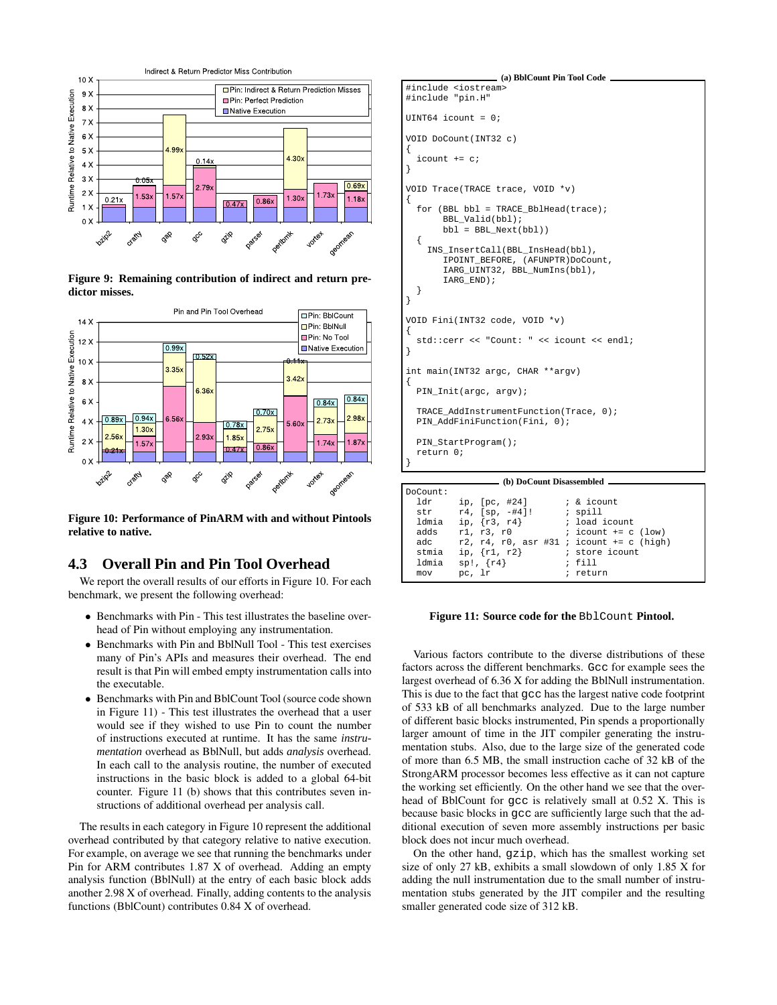

**Figure 9: Remaining contribution of indirect and return predictor misses.**



**Figure 10: Performance of PinARM with and without Pintools relative to native.**

## **4.3 Overall Pin and Pin Tool Overhead**

We report the overall results of our efforts in Figure 10. For each benchmark, we present the following overhead:

- Benchmarks with Pin This test illustrates the baseline overhead of Pin without employing any instrumentation.
- Benchmarks with Pin and BblNull Tool This test exercises many of Pin's APIs and measures their overhead. The end result is that Pin will embed empty instrumentation calls into the executable.
- Benchmarks with Pin and BblCount Tool (source code shown in Figure 11) - This test illustrates the overhead that a user would see if they wished to use Pin to count the number of instructions executed at runtime. It has the same *instrumentation* overhead as BblNull, but adds *analysis* overhead. In each call to the analysis routine, the number of executed instructions in the basic block is added to a global 64-bit counter. Figure 11 (b) shows that this contributes seven instructions of additional overhead per analysis call.

The results in each category in Figure 10 represent the additional overhead contributed by that category relative to native execution. For example, on average we see that running the benchmarks under Pin for ARM contributes 1.87 X of overhead. Adding an empty analysis function (BblNull) at the entry of each basic block adds another 2.98 X of overhead. Finally, adding contents to the analysis functions (BblCount) contributes 0.84 X of overhead.

```
(a) BblCount Pin Tool Code
#include <iostream>
#include "pin.H"
UINT64 icount = 0;
VOID DoCount(INT32 c)
{
  icount += c;
}
VOID Trace(TRACE trace, VOID *v)
{
  for (BBL bbl = TRACE_BblHead(trace);
       BBL Valid(bbl);
       bb1 = BBL Next(bb1))
  {
    INS_InsertCall(BBL_InsHead(bbl),
       IPOINT_BEFORE, (AFUNPTR)DoCount,
       IARG_UINT32, BBL_NumIns(bbl),
       IARG_END);
  }
}
VOID Fini(INT32 code, VOID *v)
{
  std::cerr << "Count: " << icount << endl;
}
int main(INT32 argc, CHAR **argv)
{
  PIN_Init(argc, argv);
  TRACE_AddInstrumentFunction(Trace, 0);
  PIN_AddFiniFunction(Fini, 0);
  PIN_StartProgram();
  return 0;
}
                    (b) DoCount Disassembled
```

| (b) DoCount Disassembled |                                            |  |                         |  |  |  |  |
|--------------------------|--------------------------------------------|--|-------------------------|--|--|--|--|
| DoCount:                 |                                            |  |                         |  |  |  |  |
| ldr                      | ip, [pc, #24]                              |  | ; & icount              |  |  |  |  |
| str                      | $r4$ , [sp, $-#4$ ]!                       |  | ; spill                 |  |  |  |  |
| ldmia                    | ip, $\{r3, r4\}$                           |  | ; load icount           |  |  |  |  |
| adds                     | r1, r3, r0                                 |  | $:$ icount $+= c$ (low) |  |  |  |  |
| adc                      | r2, r4, r0, asr #31 ; icount $+= c$ (high) |  |                         |  |  |  |  |
| stmia                    | ip, $\{r1, r2\}$                           |  | ; store icount          |  |  |  |  |
| ldmia                    | $sp!, \{r4\}$                              |  | $;$ fill                |  |  |  |  |
| mov                      | pc, lr                                     |  | ; return                |  |  |  |  |
|                          |                                            |  |                         |  |  |  |  |

**Figure 11: Source code for the** BblCount **Pintool.**

Various factors contribute to the diverse distributions of these factors across the different benchmarks. Gcc for example sees the largest overhead of 6.36 X for adding the BblNull instrumentation. This is due to the fact that gcc has the largest native code footprint of 533 kB of all benchmarks analyzed. Due to the large number of different basic blocks instrumented, Pin spends a proportionally larger amount of time in the JIT compiler generating the instrumentation stubs. Also, due to the large size of the generated code of more than 6.5 MB, the small instruction cache of 32 kB of the StrongARM processor becomes less effective as it can not capture the working set efficiently. On the other hand we see that the overhead of BblCount for gcc is relatively small at 0.52 X. This is because basic blocks in gcc are sufficiently large such that the additional execution of seven more assembly instructions per basic block does not incur much overhead.

On the other hand, gzip, which has the smallest working set size of only 27 kB, exhibits a small slowdown of only 1.85 X for adding the null instrumentation due to the small number of instrumentation stubs generated by the JIT compiler and the resulting smaller generated code size of 312 kB.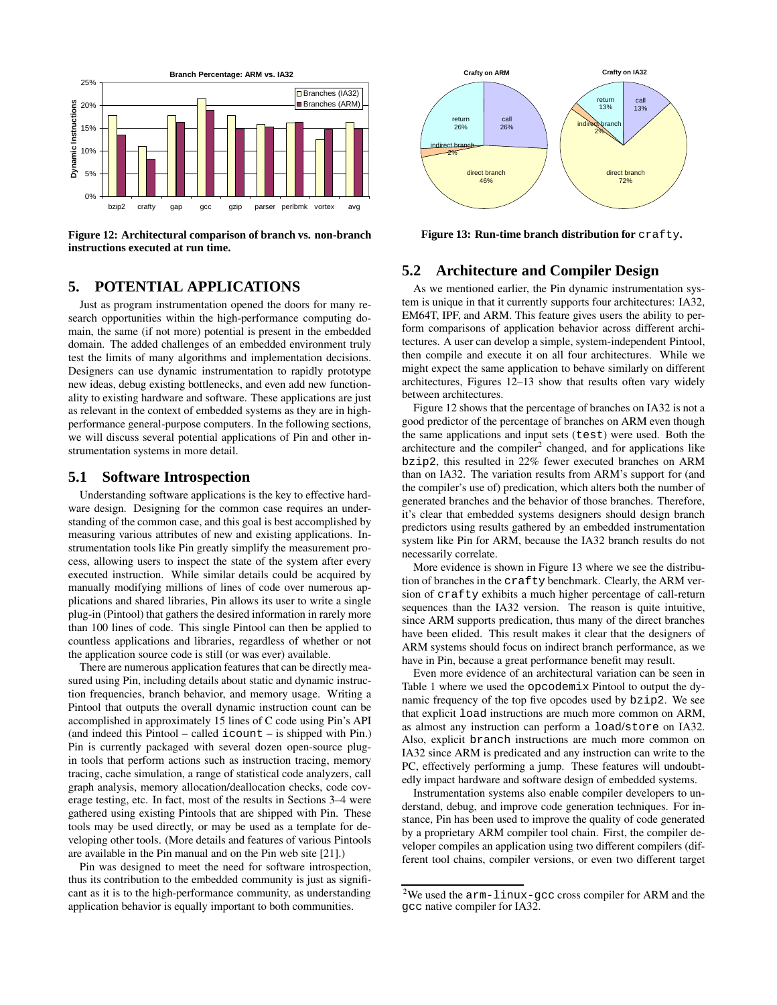

**Figure 12: Architectural comparison of branch vs. non-branch instructions executed at run time.**

## **5. POTENTIAL APPLICATIONS**

Just as program instrumentation opened the doors for many research opportunities within the high-performance computing domain, the same (if not more) potential is present in the embedded domain. The added challenges of an embedded environment truly test the limits of many algorithms and implementation decisions. Designers can use dynamic instrumentation to rapidly prototype new ideas, debug existing bottlenecks, and even add new functionality to existing hardware and software. These applications are just as relevant in the context of embedded systems as they are in highperformance general-purpose computers. In the following sections, we will discuss several potential applications of Pin and other instrumentation systems in more detail.

#### **5.1 Software Introspection**

Understanding software applications is the key to effective hardware design. Designing for the common case requires an understanding of the common case, and this goal is best accomplished by measuring various attributes of new and existing applications. Instrumentation tools like Pin greatly simplify the measurement process, allowing users to inspect the state of the system after every executed instruction. While similar details could be acquired by manually modifying millions of lines of code over numerous applications and shared libraries, Pin allows its user to write a single plug-in (Pintool) that gathers the desired information in rarely more than 100 lines of code. This single Pintool can then be applied to countless applications and libraries, regardless of whether or not the application source code is still (or was ever) available.

There are numerous application features that can be directly measured using Pin, including details about static and dynamic instruction frequencies, branch behavior, and memory usage. Writing a Pintool that outputs the overall dynamic instruction count can be accomplished in approximately 15 lines of C code using Pin's API (and indeed this Pintool – called icount – is shipped with Pin.) Pin is currently packaged with several dozen open-source plugin tools that perform actions such as instruction tracing, memory tracing, cache simulation, a range of statistical code analyzers, call graph analysis, memory allocation/deallocation checks, code coverage testing, etc. In fact, most of the results in Sections 3–4 were gathered using existing Pintools that are shipped with Pin. These tools may be used directly, or may be used as a template for developing other tools. (More details and features of various Pintools are available in the Pin manual and on the Pin web site [21].)

Pin was designed to meet the need for software introspection, thus its contribution to the embedded community is just as significant as it is to the high-performance community, as understanding application behavior is equally important to both communities.



**Figure 13: Run-time branch distribution for** crafty**.**

#### **5.2 Architecture and Compiler Design**

As we mentioned earlier, the Pin dynamic instrumentation system is unique in that it currently supports four architectures: IA32, EM64T, IPF, and ARM. This feature gives users the ability to perform comparisons of application behavior across different architectures. A user can develop a simple, system-independent Pintool, then compile and execute it on all four architectures. While we might expect the same application to behave similarly on different architectures, Figures 12–13 show that results often vary widely between architectures.

Figure 12 shows that the percentage of branches on IA32 is not a good predictor of the percentage of branches on ARM even though the same applications and input sets (test) were used. Both the architecture and the compiler<sup>2</sup> changed, and for applications like bzip2, this resulted in 22% fewer executed branches on ARM than on IA32. The variation results from ARM's support for (and the compiler's use of) predication, which alters both the number of generated branches and the behavior of those branches. Therefore, it's clear that embedded systems designers should design branch predictors using results gathered by an embedded instrumentation system like Pin for ARM, because the IA32 branch results do not necessarily correlate.

More evidence is shown in Figure 13 where we see the distribution of branches in the crafty benchmark. Clearly, the ARM version of crafty exhibits a much higher percentage of call-return sequences than the IA32 version. The reason is quite intuitive, since ARM supports predication, thus many of the direct branches have been elided. This result makes it clear that the designers of ARM systems should focus on indirect branch performance, as we have in Pin, because a great performance benefit may result.

Even more evidence of an architectural variation can be seen in Table 1 where we used the opcodemix Pintool to output the dynamic frequency of the top five opcodes used by bzip2. We see that explicit load instructions are much more common on ARM, as almost any instruction can perform a load/store on IA32. Also, explicit branch instructions are much more common on IA32 since ARM is predicated and any instruction can write to the PC, effectively performing a jump. These features will undoubtedly impact hardware and software design of embedded systems.

Instrumentation systems also enable compiler developers to understand, debug, and improve code generation techniques. For instance, Pin has been used to improve the quality of code generated by a proprietary ARM compiler tool chain. First, the compiler developer compiles an application using two different compilers (different tool chains, compiler versions, or even two different target

<sup>2</sup>We used the arm-linux-gcc cross compiler for ARM and the gcc native compiler for IA32.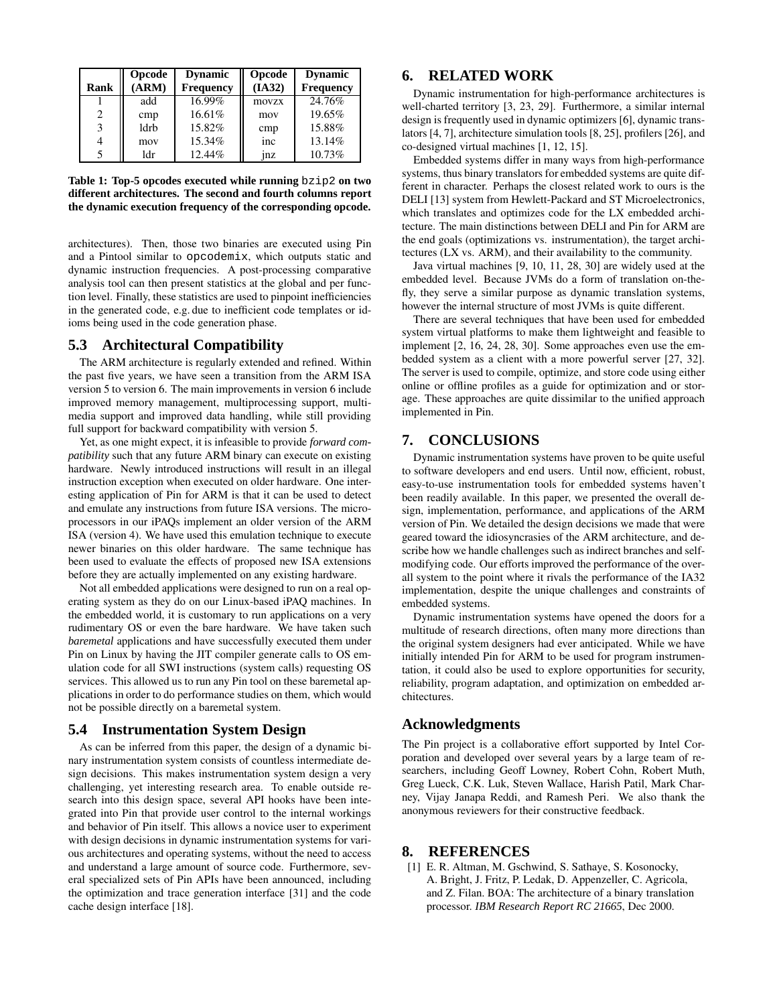|      | <b>Opcode</b> | <b>Dynamic</b>   | Opcode | <b>Dynamic</b>   |
|------|---------------|------------------|--------|------------------|
| Rank | (ARM)         | <b>Frequency</b> | (IA32) | <b>Frequency</b> |
|      | add           | 16.99%           | movzx  | 24.76%           |
| 2    | cmp           | 16.61%           | mov    | 19.65%           |
| 3    | ldrb          | 15.82%           | cmp    | 15.88%           |
| 4    | mov           | 15.34%           | inc    | 13.14%           |
| 5    | ldr           | 12.44%           | jnz    | 10.73%           |

**Table 1: Top-5 opcodes executed while running** bzip2 **on two different architectures. The second and fourth columns report the dynamic execution frequency of the corresponding opcode.**

architectures). Then, those two binaries are executed using Pin and a Pintool similar to opcodemix, which outputs static and dynamic instruction frequencies. A post-processing comparative analysis tool can then present statistics at the global and per function level. Finally, these statistics are used to pinpoint inefficiencies in the generated code, e.g. due to inefficient code templates or idioms being used in the code generation phase.

## **5.3 Architectural Compatibility**

The ARM architecture is regularly extended and refined. Within the past five years, we have seen a transition from the ARM ISA version 5 to version 6. The main improvements in version 6 include improved memory management, multiprocessing support, multimedia support and improved data handling, while still providing full support for backward compatibility with version 5.

Yet, as one might expect, it is infeasible to provide *forward compatibility* such that any future ARM binary can execute on existing hardware. Newly introduced instructions will result in an illegal instruction exception when executed on older hardware. One interesting application of Pin for ARM is that it can be used to detect and emulate any instructions from future ISA versions. The microprocessors in our iPAQs implement an older version of the ARM ISA (version 4). We have used this emulation technique to execute newer binaries on this older hardware. The same technique has been used to evaluate the effects of proposed new ISA extensions before they are actually implemented on any existing hardware.

Not all embedded applications were designed to run on a real operating system as they do on our Linux-based iPAQ machines. In the embedded world, it is customary to run applications on a very rudimentary OS or even the bare hardware. We have taken such *baremetal* applications and have successfully executed them under Pin on Linux by having the JIT compiler generate calls to OS emulation code for all SWI instructions (system calls) requesting OS services. This allowed us to run any Pin tool on these baremetal applications in order to do performance studies on them, which would not be possible directly on a baremetal system.

#### **5.4 Instrumentation System Design**

As can be inferred from this paper, the design of a dynamic binary instrumentation system consists of countless intermediate design decisions. This makes instrumentation system design a very challenging, yet interesting research area. To enable outside research into this design space, several API hooks have been integrated into Pin that provide user control to the internal workings and behavior of Pin itself. This allows a novice user to experiment with design decisions in dynamic instrumentation systems for various architectures and operating systems, without the need to access and understand a large amount of source code. Furthermore, several specialized sets of Pin APIs have been announced, including the optimization and trace generation interface [31] and the code cache design interface [18].

## **6. RELATED WORK**

Dynamic instrumentation for high-performance architectures is well-charted territory [3, 23, 29]. Furthermore, a similar internal design is frequently used in dynamic optimizers [6], dynamic translators [4, 7], architecture simulation tools [8, 25], profilers [26], and co-designed virtual machines [1, 12, 15].

Embedded systems differ in many ways from high-performance systems, thus binary translators for embedded systems are quite different in character. Perhaps the closest related work to ours is the DELI [13] system from Hewlett-Packard and ST Microelectronics, which translates and optimizes code for the LX embedded architecture. The main distinctions between DELI and Pin for ARM are the end goals (optimizations vs. instrumentation), the target architectures (LX vs. ARM), and their availability to the community.

Java virtual machines [9, 10, 11, 28, 30] are widely used at the embedded level. Because JVMs do a form of translation on-thefly, they serve a similar purpose as dynamic translation systems, however the internal structure of most JVMs is quite different.

There are several techniques that have been used for embedded system virtual platforms to make them lightweight and feasible to implement [2, 16, 24, 28, 30]. Some approaches even use the embedded system as a client with a more powerful server [27, 32]. The server is used to compile, optimize, and store code using either online or offline profiles as a guide for optimization and or storage. These approaches are quite dissimilar to the unified approach implemented in Pin.

# **7. CONCLUSIONS**

Dynamic instrumentation systems have proven to be quite useful to software developers and end users. Until now, efficient, robust, easy-to-use instrumentation tools for embedded systems haven't been readily available. In this paper, we presented the overall design, implementation, performance, and applications of the ARM version of Pin. We detailed the design decisions we made that were geared toward the idiosyncrasies of the ARM architecture, and describe how we handle challenges such as indirect branches and selfmodifying code. Our efforts improved the performance of the overall system to the point where it rivals the performance of the IA32 implementation, despite the unique challenges and constraints of embedded systems.

Dynamic instrumentation systems have opened the doors for a multitude of research directions, often many more directions than the original system designers had ever anticipated. While we have initially intended Pin for ARM to be used for program instrumentation, it could also be used to explore opportunities for security, reliability, program adaptation, and optimization on embedded architectures.

## **Acknowledgments**

The Pin project is a collaborative effort supported by Intel Corporation and developed over several years by a large team of researchers, including Geoff Lowney, Robert Cohn, Robert Muth, Greg Lueck, C.K. Luk, Steven Wallace, Harish Patil, Mark Charney, Vijay Janapa Reddi, and Ramesh Peri. We also thank the anonymous reviewers for their constructive feedback.

## **8. REFERENCES**

[1] E. R. Altman, M. Gschwind, S. Sathaye, S. Kosonocky, A. Bright, J. Fritz, P. Ledak, D. Appenzeller, C. Agricola, and Z. Filan. BOA: The architecture of a binary translation processor. *IBM Research Report RC 21665*, Dec 2000.